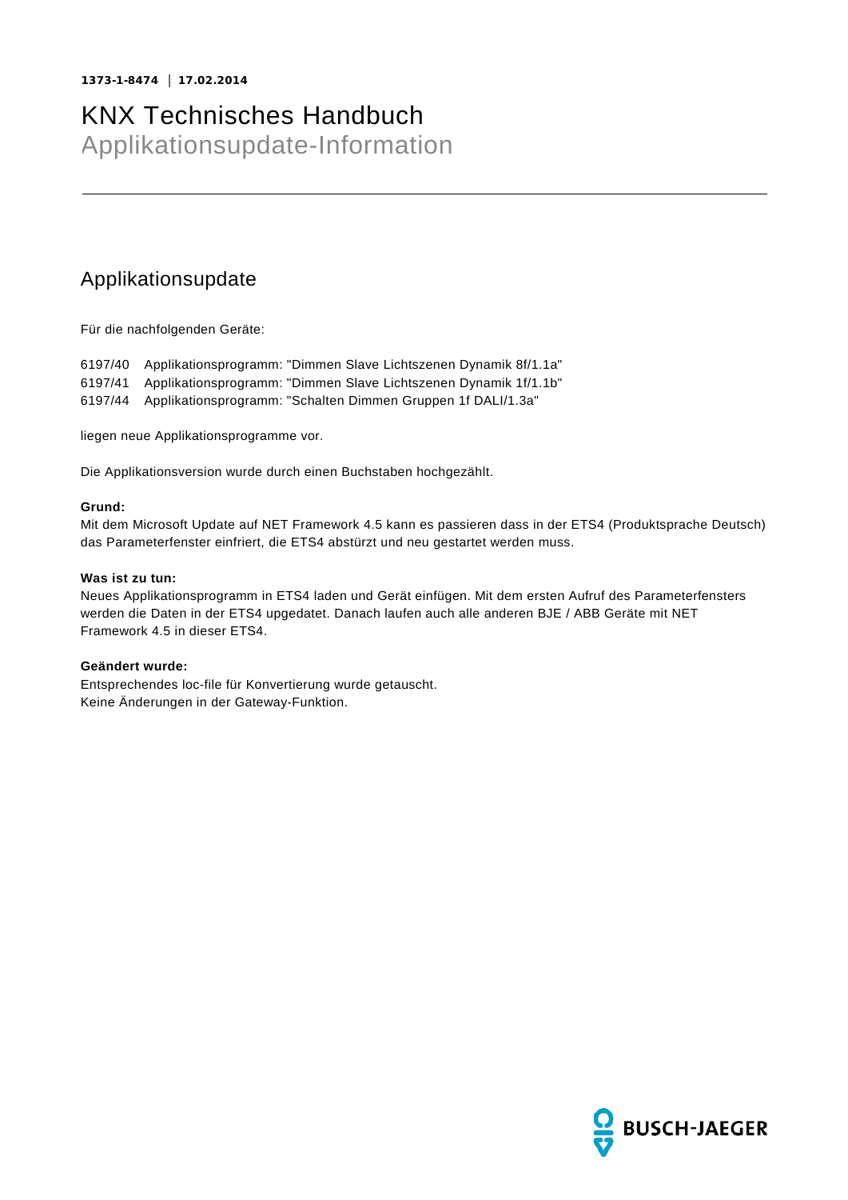# KNX Technisches Handbuch

Applikationsupdate-Information

### Applikationsupdate

Für die nachfolgenden Geräte:

6197/40 Applikationsprogramm: "Dimmen Slave Lichtszenen Dynamik 8f/1.1a" 6197/41 Applikationsprogramm: "Dimmen Slave Lichtszenen Dynamik 1f/1.1b"

6197/44 Applikationsprogramm: "Schalten Dimmen Gruppen 1f DALI/1.3a"

liegen neue Applikationsprogramme vor.

Die Applikationsversion wurde durch einen Buchstaben hochgezählt.

#### **Grund:**

Mit dem Microsoft Update auf NET Framework 4.5 kann es passieren dass in der ETS4 (Produktsprache Deutsch) das Parameterfenster einfriert, die ETS4 abstürzt und neu gestartet werden muss.

### **Was ist zu tun:**

Neues Applikationsprogramm in ETS4 laden und Gerät einfügen. Mit dem ersten Aufruf des Parameterfensters werden die Daten in der ETS4 upgedatet. Danach laufen auch alle anderen BJE / ABB Geräte mit NET Framework 4.5 in dieser ETS4.

### **Geändert wurde:**

Entsprechendes loc-file für Konvertierung wurde getauscht. Keine Änderungen in der Gateway-Funktion.